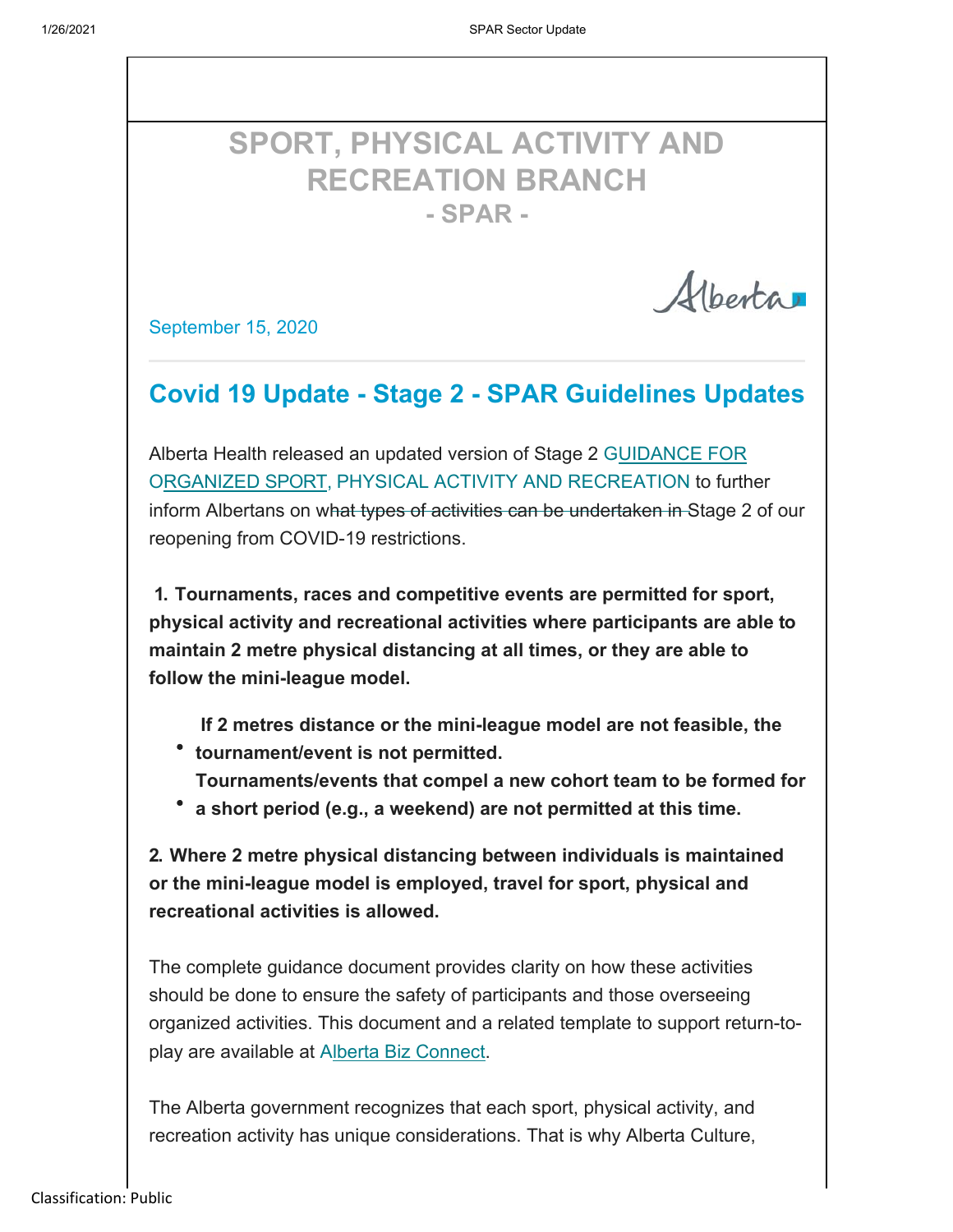# **SPORT, PHYSICAL ACTIVITY AND RECREATION BRANCH - SPAR -**

Alberta

September 15, 2020

### **Covid 19 Update - Stage 2 - SPAR Guidelines Updates**

Alberta Health released an updated version of Stage 2 GUIDANCE FOR ORGANIZED SPORT, PHYSICAL ACTIVITY AND RECREATION to further inform Albertans on what types of activities can be undertaken in Stage 2 of our reopening from COVID-19 restrictions.

**1. Tournaments, races and competitive events are permitted for sport, physical activity and recreational activities where participants are able to maintain 2 metre physical distancing at all times, or they are able to follow the mini-league model.**

**If 2 metres distance or the mini-league model are not feasible, the tournament/event is not permitted.**

**Tournaments/events that compel a new cohort team to be formed for** 

**a short period (e.g., a weekend) are not permitted at this time.**

**2. Where 2 metre physical distancing between individuals is maintained or the mini-league model is employed, travel for sport, physical and recreational activities is allowed.**

The complete guidance document provides clarity on how these activities should be done to ensure the safety of participants and those overseeing organized activities. This document and a related template to support return-toplay are available at Alberta Biz Connect.

The Alberta government recognizes that each sport, physical activity, and recreation activity has unique considerations. That is why Alberta Culture,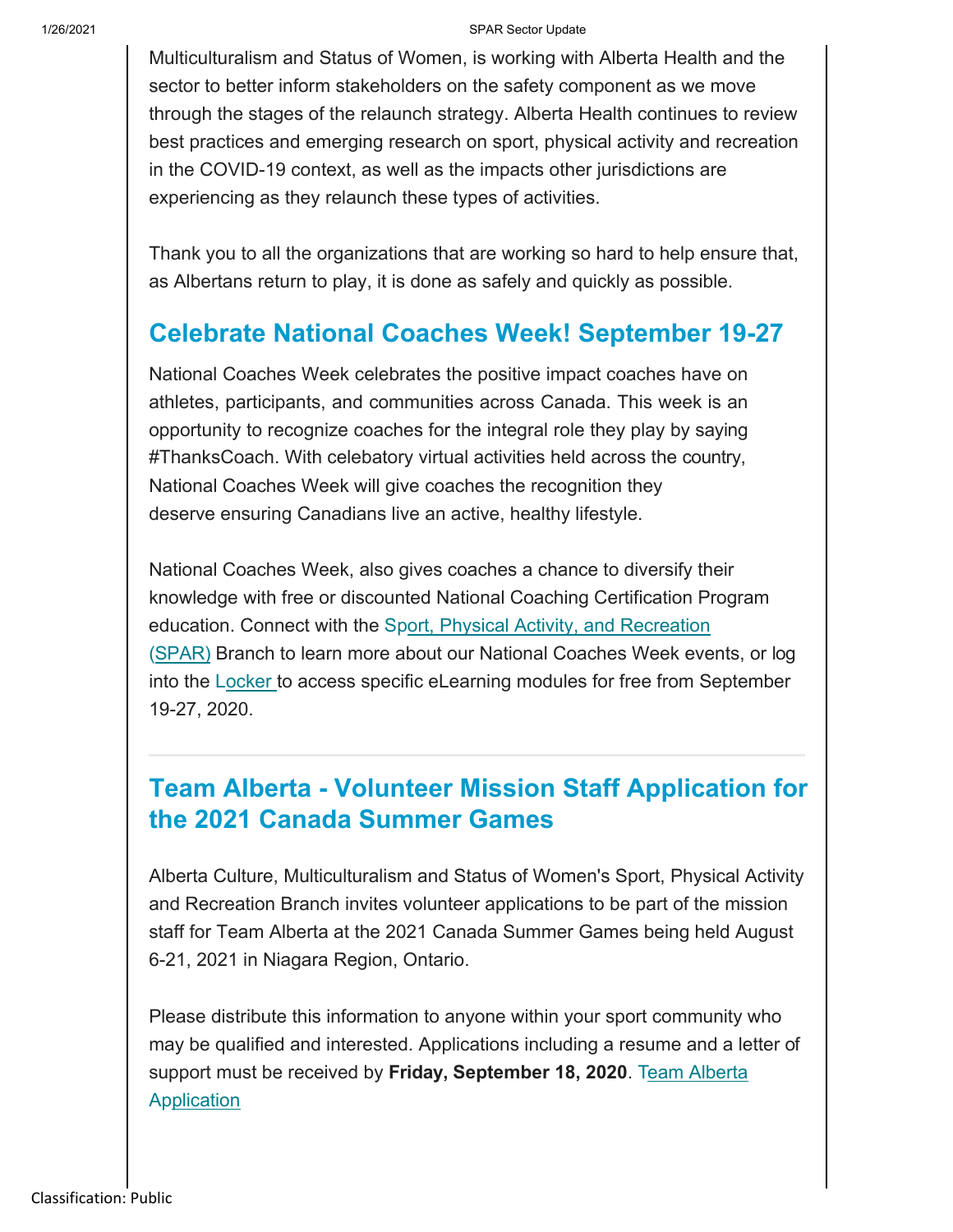#### 1/26/2021 SPAR Sector Update

Multiculturalism and Status of Women, is working with Alberta Health and the sector to better inform stakeholders on the safety component as we move through the stages of the relaunch strategy. Alberta Health continues to review best practices and emerging research on sport, physical activity and recreation in the COVID-19 context, as well as the impacts other jurisdictions are experiencing as they relaunch these types of activities.

Thank you to all the organizations that are working so hard to help ensure that, as Albertans return to play, it is done as safely and quickly as possible.

### **Celebrate National Coaches Week! September 19-27**

National Coaches Week celebrates the positive impact coaches have on athletes, participants, and communities across Canada. This week is an opportunity to recognize coaches for the integral role they play by saying #ThanksCoach. With celebatory virtual activities held across the country, National Coaches Week will give coaches the recognition they deserve ensuring Canadians live an active, healthy lifestyle.

National Coaches Week, also gives coaches a chance to diversify their knowledge with free or discounted National Coaching Certification Program education. Connect with the Sport, Physical Activity, and Recreation (SPAR) Branch to learn more about our National Coaches Week events, or log into the Locker to access specific eLearning modules for free from September 19-27, 2020.

### **Team Alberta - Volunteer Mission Staff Application for the 2021 Canada Summer Games**

Alberta Culture, Multiculturalism and Status of Women's Sport, Physical Activity and Recreation Branch invites volunteer applications to be part of the mission staff for Team Alberta at the 2021 Canada Summer Games being held August 6-21, 2021 in Niagara Region, Ontario.

Please distribute this information to anyone within your sport community who may be qualified and interested. Applications including a resume and a letter of support must be received by Friday, September 18, 2020. Team Alberta **Application**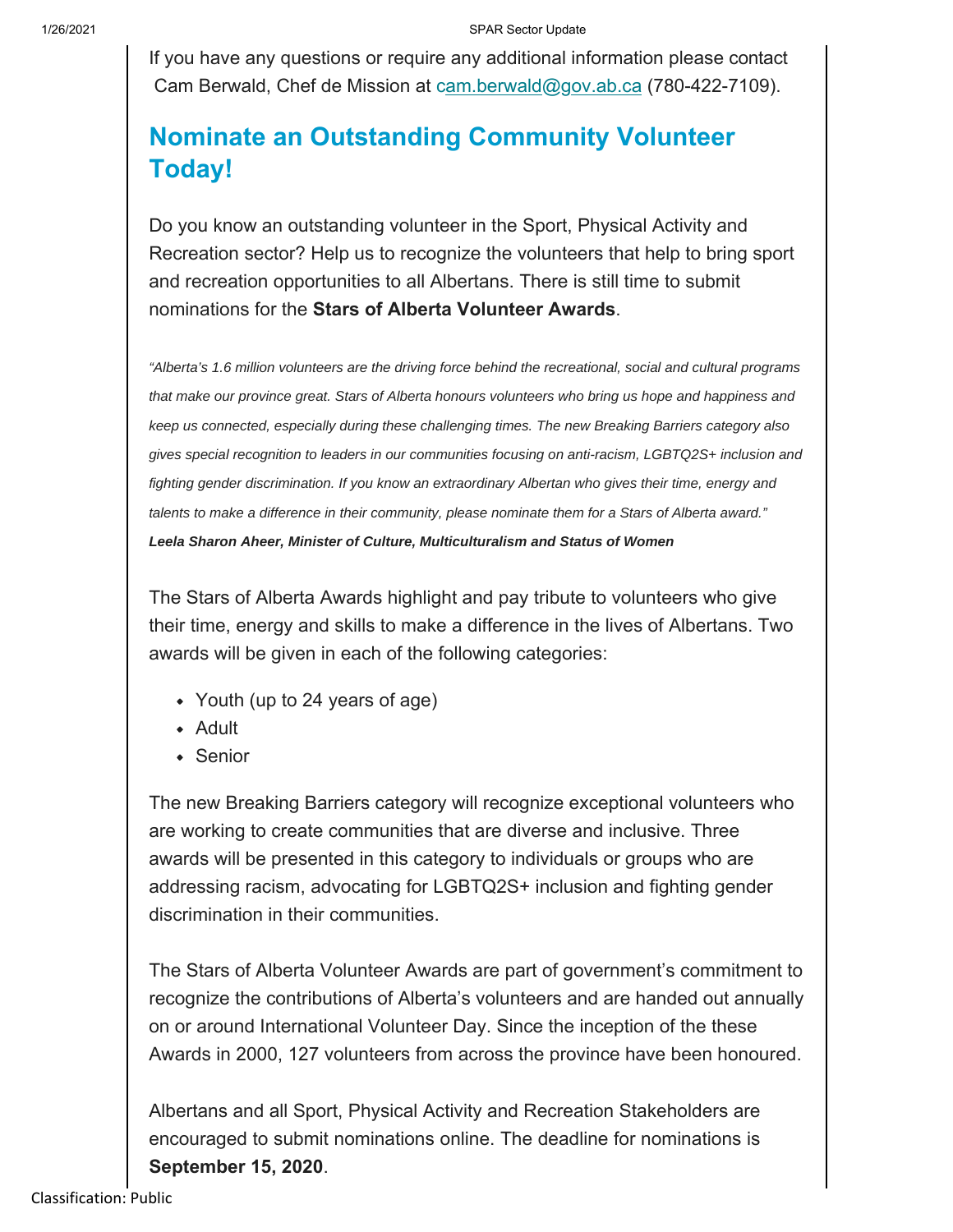If you have any questions or require any additional information please contact Cam Berwald, Chef de Mission at cam.berwald@gov.ab.ca (780-422-7109).

## **Nominate an Outstanding Community Volunteer Today!**

Do you know an outstanding volunteer in the Sport, Physical Activity and Recreation sector? Help us to recognize the volunteers that help to bring sport and recreation opportunities to all Albertans. There is still time to submit nominations for the **Stars of Alberta Volunteer Awards**.

*"Alberta's 1.6 million volunteers are the driving force behind the recreational, social and cultural programs that make our province great. Stars of Alberta honours volunteers who bring us hope and happiness and keep us connected, especially during these challenging times. The new Breaking Barriers category also gives special recognition to leaders in our communities focusing on anti-racism, LGBTQ2S+ inclusion and fighting gender discrimination. If you know an extraordinary Albertan who gives their time, energy and talents to make a difference in their community, please nominate them for a Stars of Alberta award." Leela Sharon Aheer, Minister of Culture, Multiculturalism and Status of Women*

The Stars of Alberta Awards highlight and pay tribute to volunteers who give their time, energy and skills to make a difference in the lives of Albertans. Two awards will be given in each of the following categories:

- Youth (up to 24 years of age)
- Adult
- Senior

The new Breaking Barriers category will recognize exceptional volunteers who are working to create communities that are diverse and inclusive. Three awards will be presented in this category to individuals or groups who are addressing racism, advocating for LGBTQ2S+ inclusion and fighting gender discrimination in their communities.

The Stars of Alberta Volunteer Awards are part of government's commitment to recognize the contributions of Alberta's volunteers and are handed out annually on or around International Volunteer Day. Since the inception of the these Awards in 2000, 127 volunteers from across the province have been honoured.

Albertans and all Sport, Physical Activity and Recreation Stakeholders are encouraged to submit nominations online. The deadline for nominations is **September 15, 2020**.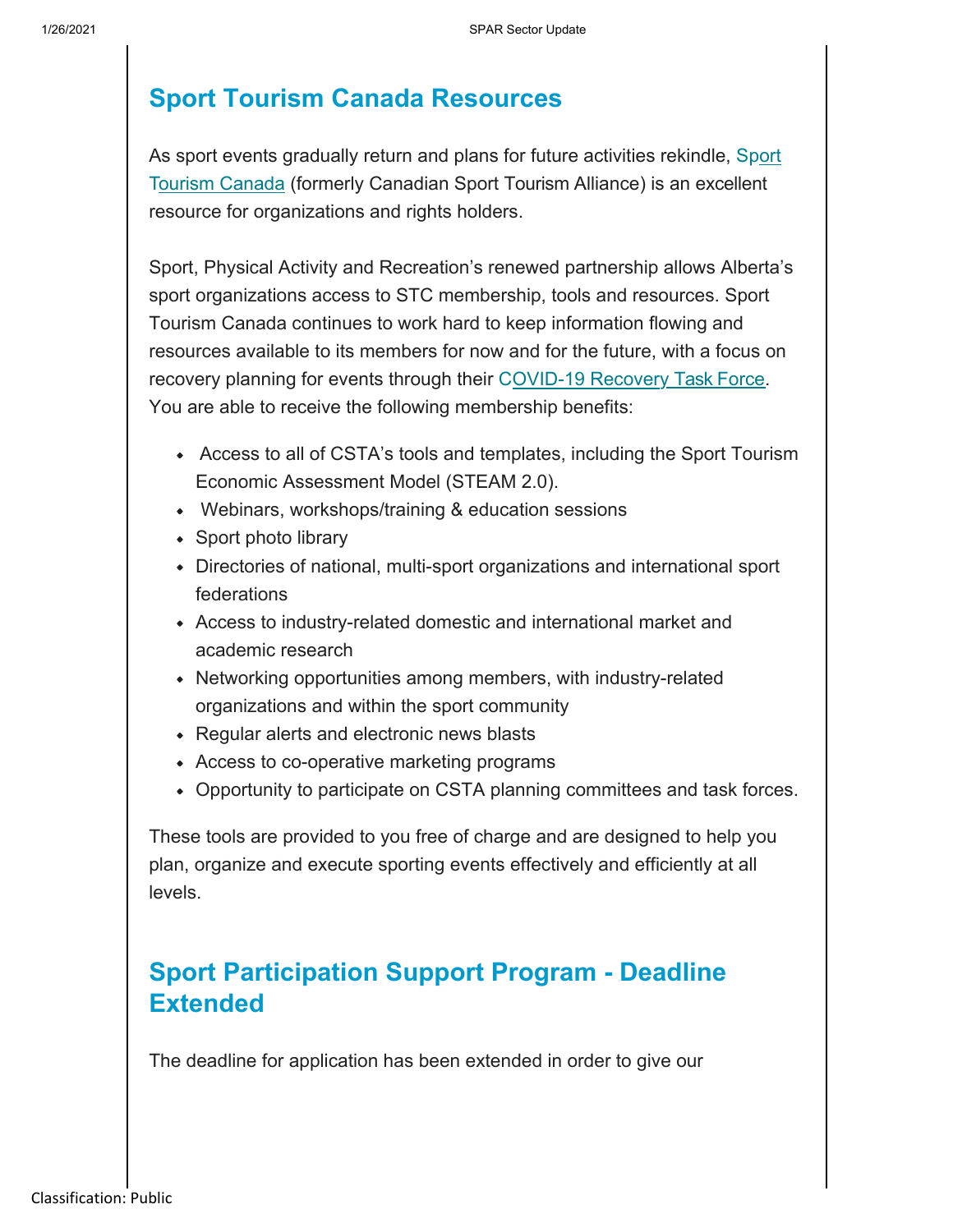### **Sport Tourism Canada Resources**

As sport events gradually return and plans for future activities rekindle, Sport Tourism Canada (formerly Canadian Sport Tourism Alliance) is an excellent resource for organizations and rights holders.

Sport, Physical Activity and Recreation's renewed partnership allows Alberta's sport organizations access to STC membership, tools and resources. Sport Tourism Canada continues to work hard to keep information flowing and resources available to its members for now and for the future, with a focus on recovery planning for events through their C OVID-19 Recovery Task Force. You are able to receive the following membership benefits:

- Access to all of CSTA's tools and templates, including the Sport Tourism Economic Assessment Model (STEAM 2.0).
- Webinars, workshops/training & education sessions
- Sport photo library
- Directories of national, multi-sport organizations and international sport federations
- Access to industry-related domestic and international market and academic research
- Networking opportunities among members, with industry-related organizations and within the sport community
- Regular alerts and electronic news blasts
- Access to co-operative marketing programs
- Opportunity to participate on CSTA planning committees and task forces.

These tools are provided to you free of charge and are designed to help you plan, organize and execute sporting events effectively and efficiently at all levels.

### **Sport Participation Support Program - Deadline Extended**

The deadline for application has been extended in order to give our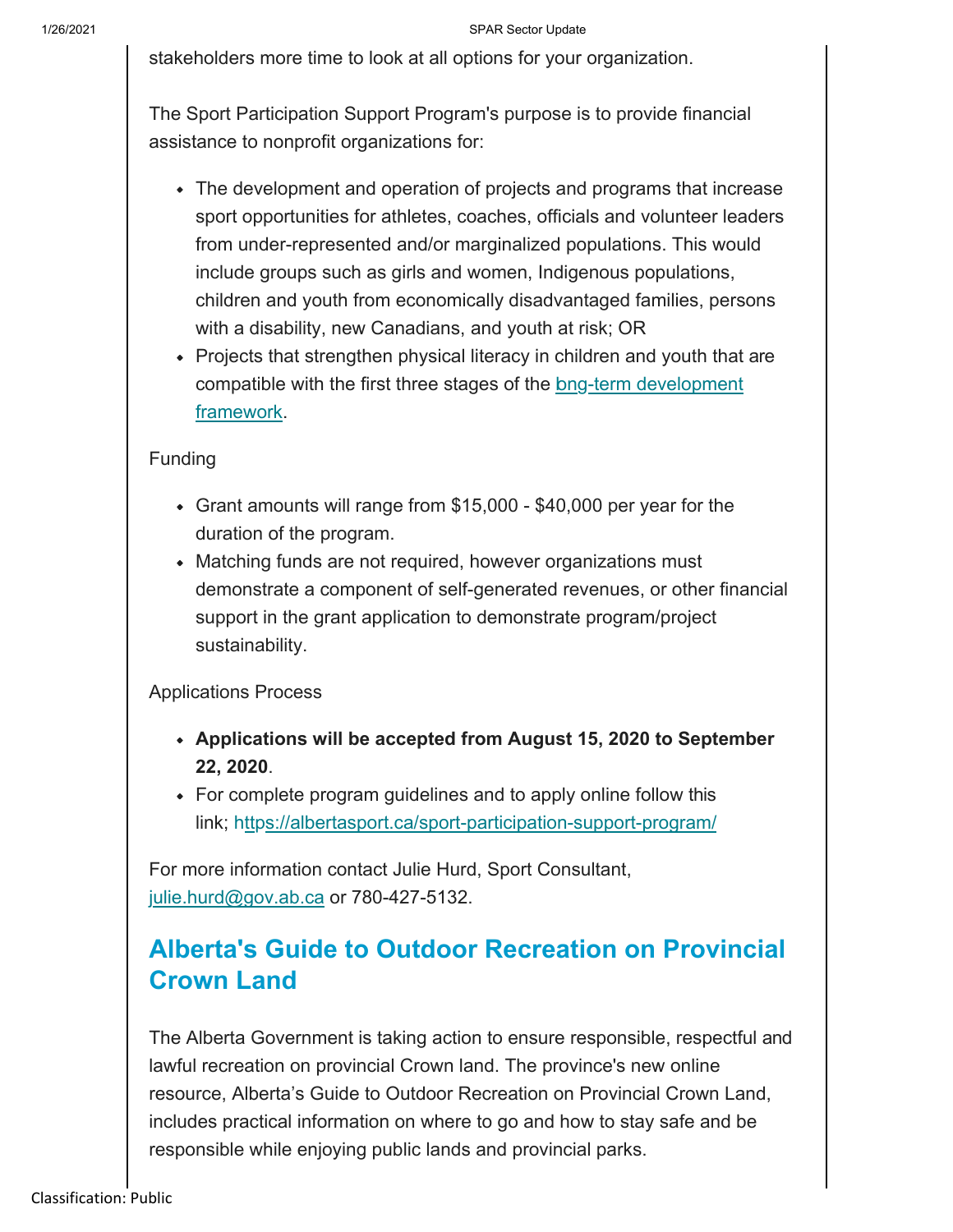#### 1/26/2021 SPAR Sector Update

stakeholders more time to look at all options for your organization.

The Sport Participation Support Program's purpose is to provide financial assistance to nonprofit organizations for:

- The development and operation of projects and programs that increase sport opportunities for athletes, coaches, officials and volunteer leaders from under-represented and/or marginalized populations. This would include groups such as girls and women, Indigenous populations, children and youth from economically disadvantaged families, persons with a disability, new Canadians, and youth at risk; OR
- Projects that strengthen physical literacy in children and youth that are compatible with the first three stages of the bng-term development framework.

### Funding

- Grant amounts will range from \$15,000 \$40,000 per year for the duration of the program.
- Matching funds are not required, however organizations must demonstrate a component of self-generated revenues, or other financial support in the grant application to demonstrate program/project sustainability.

### Applications Process

- **Applications will be accepted from August 15, 2020 to September 22, 2020**.
- For complete program guidelines and to apply online follow this link; https://albertasport.ca/sport-participation-support-program/

For more information contact Julie Hurd, Sport Consultant, julie.hurd@gov.ab.ca or 780-427-5132.

## **Alberta's Guide to Outdoor Recreation on Provincial Crown Land**

The Alberta Government is taking action to ensure responsible, respectful and lawful recreation on provincial Crown land. The province's new online resource, Alberta's Guide to Outdoor Recreation on Provincial Crown Land, includes practical information on where to go and how to stay safe and be responsible while enjoying public lands and provincial parks.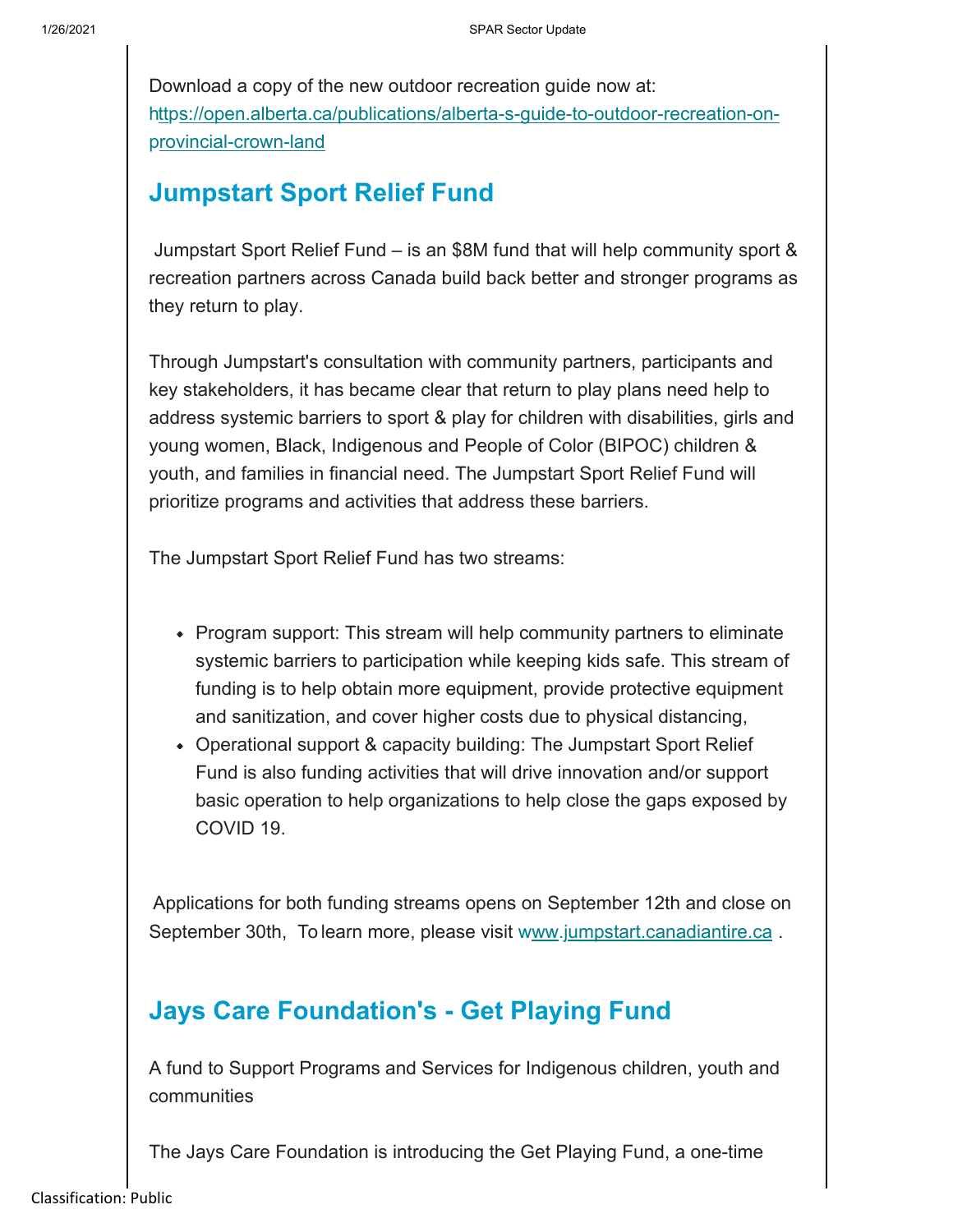Download a copy of the new outdoor recreation guide now at: https://open.alberta.ca/publications/alberta-s-guide-to-outdoor-recreation-onprovincial-crown-land

### **Jumpstart Sport Relief Fund**

Jumpstart Sport Relief Fund – is an \$8M fund that will help community sport & recreation partners across Canada build back better and stronger programs as they return to play.

Through Jumpstart's consultation with community partners, participants and key stakeholders, it has became clear that return to play plans need help to address systemic barriers to sport & play for children with disabilities, girls and young women, Black, Indigenous and People of Color (BIPOC) children & youth, and families in financial need. The Jumpstart Sport Relief Fund will prioritize programs and activities that address these barriers.

The Jumpstart Sport Relief Fund has two streams:

- Program support: This stream will help community partners to eliminate systemic barriers to participation while keeping kids safe. This stream of funding is to help obtain more equipment, provide protective equipment and sanitization, and cover higher costs due to physical distancing,
- Operational support & capacity building: The Jumpstart Sport Relief Fund is also funding activities that will drive innovation and/or support basic operation to help organizations to help close the gaps exposed by COVID 19.

Applications for both funding streams opens on September 12th and close on September 30th, To learn more, please visit www.jumpstart.canadiantire.ca.

### **Jays Care Foundation's - Get Playing Fund**

A fund to Support Programs and Services for Indigenous children, youth and communities

The Jays Care Foundation is introducing the Get Playing Fund, a one-time